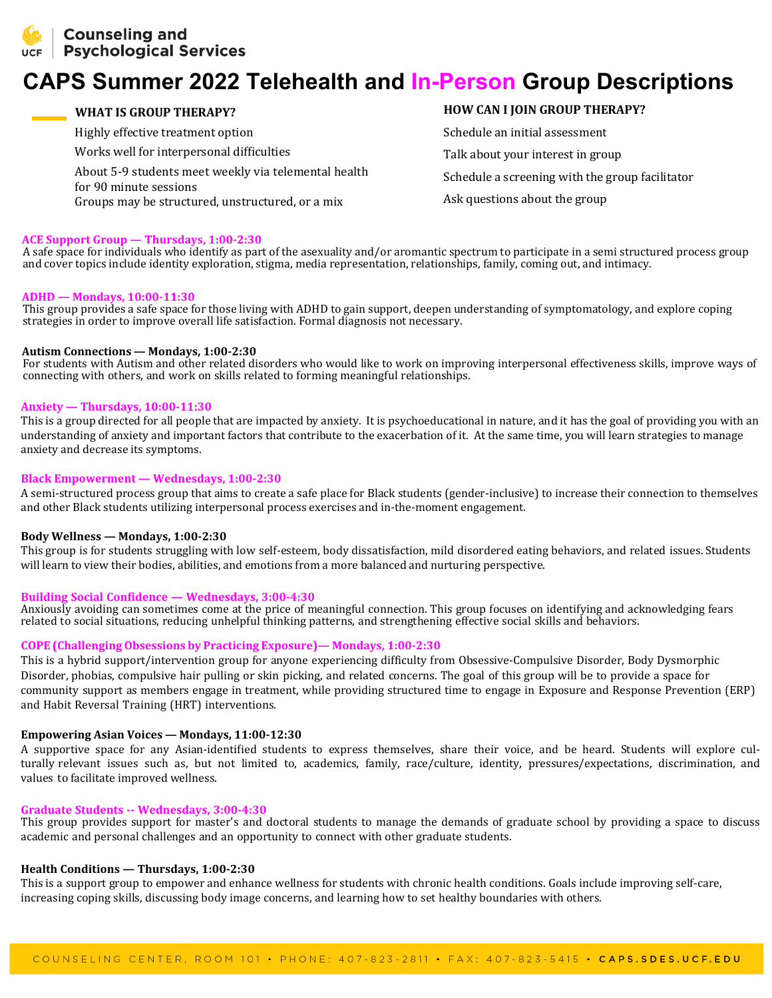

# **CAPS Summer 2022 Telehealth and In-Person Group Descriptions**

**WHAT IS GROUP THERAPY?**

Highly effective treatment option Works well for interpersonal difficulties About 5-9 students meet weekly via telemental health for 90 minute sessions Groups may be structured, unstructured, or a mix

# **HOW CAN I JOIN GROUP THERAPY?**

Schedule an initial assessment Talk about your interest in group Schedule a screening with the group facilitator Ask questions about the group

#### **ACE Support Group — Thursdays, 1:00-2:30**

A safe space for individuals who identify as part of the asexuality and/or aromantic spectrum to participate in a semi structured process group and cover topics include identity exploration, stigma, media representation, relationships, family, coming out, and intimacy.

#### **ADHD — Mondays, 10:00-11:30**

This group provides a safe space for those living with ADHD to gain support, deepen understanding of symptomatology, and explore coping strategies in order to improve overall life satisfaction. Formal diagnosis not necessary.

#### **Autism Connections — Mondays, 1:00-2:30**

For students with Autism and other related disorders who would like to work on improving interpersonal effectiveness skills, improve ways of connecting with others, and work on skills related to forming meaningful relationships.

#### **Anxiety — Thursdays, 10:00-11:30**

This is a group directed for all people that are impacted by anxiety. It is psychoeducational in nature, and it has the goal of providing you with an understanding of anxiety and important factors that contribute to the exacerbation of it. At the same time, you will learn strategies to manage anxiety and decrease its symptoms.

#### **Black Empowerment — Wednesdays, 1:00-2:30**

A semi-structured process group that aims to create a safe place for Black students (gender-inclusive) to increase their connection to themselves and other Black students utilizing interpersonal process exercises and in-the-moment engagement.

#### **Body Wellness — Mondays, 1:00-2:30**

This group is for students struggling with low self-esteem, body dissatisfaction, mild disordered eating behaviors, and related issues. Students will learn to view their bodies, abilities, and emotions from a more balanced and nurturing perspective.

#### **Building Social Confidence — Wednesdays, 3:00-4:30**

Anxiously avoiding can sometimes come at the price of meaningful connection. This group focuses on identifying and acknowledging fears related to social situations, reducing unhelpful thinking patterns, and strengthening effective social skills and behaviors.

## **COPE (Challenging Obsessions by Practicing Exposure)— Mondays, 1:00-2:30**

This is a hybrid support/intervention group for anyone experiencing difficulty from Obsessive-Compulsive Disorder, Body Dysmorphic Disorder, phobias, compulsive hair pulling or skin picking, and related concerns. The goal of this group will be to provide a space for community support as members engage in treatment, while providing structured time to engage in Exposure and Response Prevention (ERP) and Habit Reversal Training (HRT) interventions.

## **Empowering Asian Voices — Mondays, 11:00-12:30**

A supportive space for any Asian-identified students to express themselves, share their voice, and be heard. Students will explore culturally relevant issues such as, but not limited to, academics, family, race/culture, identity, pressures/expectations, discrimination, and values to facilitate improved wellness.

#### **Graduate Students -- Wednesdays, 3:00-4:30**

This group provides support for master's and doctoral students to manage the demands of graduate school by providing a space to discuss academic and personal challenges and an opportunity to connect with other graduate students.

#### **Health Conditions — Thursdays, 1:00-2:30**

This is a support group to empower and enhance wellness for students with chronic health conditions. Goals include improving self-care, increasing coping skills, discussing body image concerns, and learning how to set healthy boundaries with others.